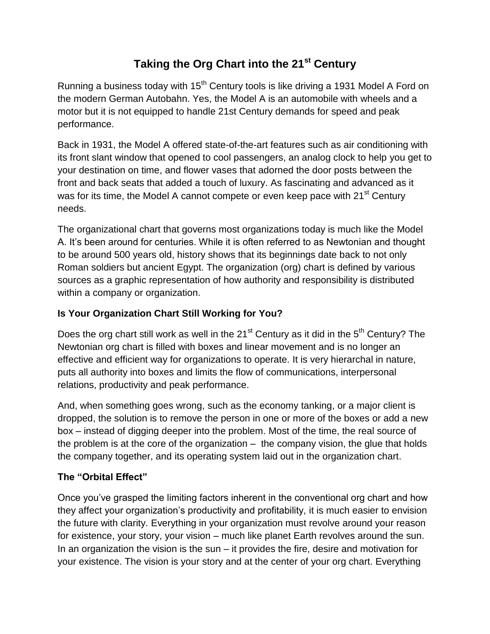# **Taking the Org Chart into the 21st Century**

Running a business today with  $15<sup>th</sup>$  Century tools is like driving a 1931 Model A Ford on the modern German Autobahn. Yes, the Model A is an automobile with wheels and a motor but it is not equipped to handle 21st Century demands for speed and peak performance.

Back in 1931, the Model A offered state-of-the-art features such as air conditioning with its front slant window that opened to cool passengers, an analog clock to help you get to your destination on time, and flower vases that adorned the door posts between the front and back seats that added a touch of luxury. As fascinating and advanced as it was for its time, the Model A cannot compete or even keep pace with 21<sup>st</sup> Century needs.

The organizational chart that governs most organizations today is much like the Model A. It's been around for centuries. While it is often referred to as Newtonian and thought to be around 500 years old, history shows that its beginnings date back to not only Roman soldiers but ancient Egypt. The organization (org) chart is defined by various sources as a [graphic](http://www.businessdictionary.com/definition/graphic.html) [representation](http://www.businessdictionary.com/definition/representation.html) of how [authority](http://www.businessdictionary.com/definition/authority.html) and [responsibility](http://www.businessdictionary.com/definition/responsibility.html) is distributed within a [company](http://www.investorwords.com/992/company.html) or [organization.](http://www.investorwords.com/3504/organization.html)

## **Is Your Organization Chart Still Working for You?**

Does the org chart still work as well in the  $21<sup>st</sup>$  Century as it did in the  $5<sup>th</sup>$  Century? The Newtonian org chart is filled with boxes and linear movement and is no longer an effective and efficient way for organizations to operate. It is very hierarchal in nature, puts all authority into boxes and limits the flow of communications, interpersonal relations, productivity and peak performance.

And, when something goes wrong, such as the economy tanking, or a major client is dropped, the solution is to remove the person in one or more of the boxes or add a new box – instead of digging deeper into the problem. Most of the time, the real source of the problem is at the core of the organization – the company vision, the glue that holds the company together, and its operating system laid out in the organization chart.

### **The "Orbital Effect"**

Once you've grasped the limiting factors inherent in the conventional org chart and how they affect your organization's productivity and profitability, it is much easier to envision the future with clarity. Everything in your organization must revolve around your reason for existence, your story, your vision – much like planet Earth revolves around the sun. In an organization the vision is the sun  $-$  it provides the fire, desire and motivation for your existence. The vision is your story and at the center of your org chart. Everything